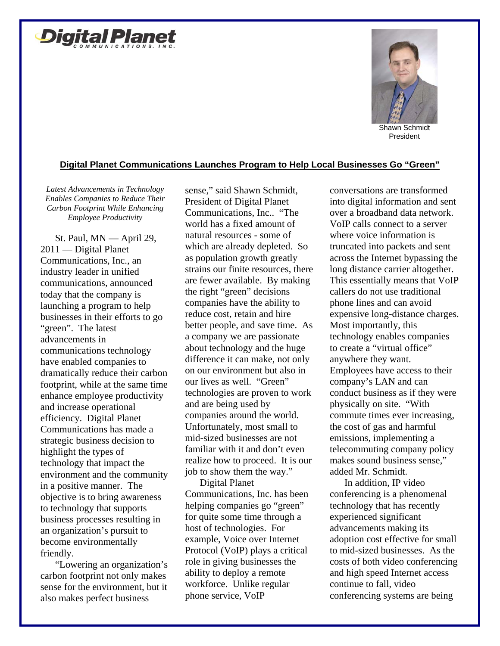



## **Digital Planet Communications Launches Program to Help Local Businesses Go "Green"**

*Latest Advancements in Technology Enables Companies to Reduce Their Carbon Footprint While Enhancing Employee Productivity* 

St. Paul, MN — April 29, 2011 — Digital Planet Communications, Inc., an industry leader in unified communications, announced today that the company is launching a program to help businesses in their efforts to go "green". The latest advancements in communications technology have enabled companies to dramatically reduce their carbon footprint, while at the same time enhance employee productivity and increase operational efficiency. Digital Planet Communications has made a strategic business decision to highlight the types of technology that impact the environment and the community in a positive manner. The objective is to bring awareness to technology that supports business processes resulting in an organization's pursuit to become environmentally friendly.

"Lowering an organization's carbon footprint not only makes sense for the environment, but it also makes perfect business

sense," said Shawn Schmidt, President of Digital Planet Communications, Inc.. "The world has a fixed amount of natural resources - some of which are already depleted. So as population growth greatly strains our finite resources, there are fewer available. By making the right "green" decisions companies have the ability to reduce cost, retain and hire better people, and save time. As a company we are passionate about technology and the huge difference it can make, not only on our environment but also in our lives as well. "Green" technologies are proven to work and are being used by companies around the world. Unfortunately, most small to mid-sized businesses are not familiar with it and don't even realize how to proceed. It is our job to show them the way."

Digital Planet Communications, Inc. has been helping companies go "green" for quite some time through a host of technologies. For example, Voice over Internet Protocol (VoIP) plays a critical role in giving businesses the ability to deploy a remote workforce. Unlike regular phone service, VoIP

conversations are transformed into digital information and sent over a broadband data network. VoIP calls connect to a server where voice information is truncated into packets and sent across the Internet bypassing the long distance carrier altogether. This essentially means that VoIP callers do not use traditional phone lines and can avoid expensive long-distance charges. Most importantly, this technology enables companies to create a "virtual office" anywhere they want. Employees have access to their company's LAN and can conduct business as if they were physically on site. "With commute times ever increasing, the cost of gas and harmful emissions, implementing a telecommuting company policy makes sound business sense," added Mr. Schmidt.

In addition, IP video conferencing is a phenomenal technology that has recently experienced significant advancements making its adoption cost effective for small to mid-sized businesses. As the costs of both video conferencing and high speed Internet access continue to fall, video conferencing systems are being